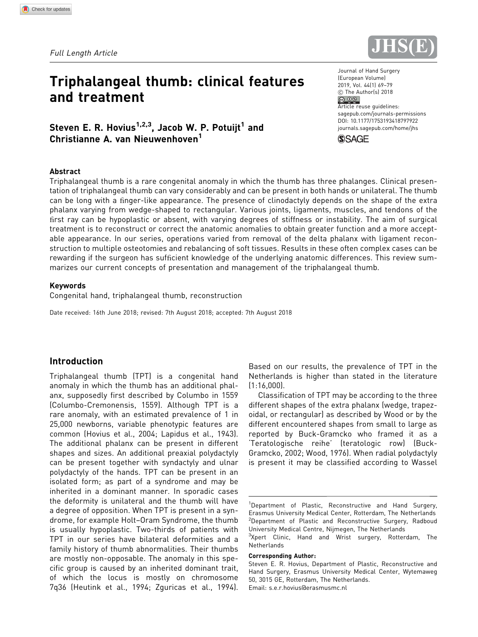Full Length Article

# Triphalangeal thumb: clinical features and treatment

Steven E. R. Hovius<sup>1,2,3</sup>, Jacob W. P. Potuijt<sup>1</sup> and Christianne A. van Nieuwenhoven<sup>1</sup>

#### Abstract

Triphalangeal thumb is a rare congenital anomaly in which the thumb has three phalanges. Clinical presentation of triphalangeal thumb can vary considerably and can be present in both hands or unilateral. The thumb can be long with a finger-like appearance. The presence of clinodactyly depends on the shape of the extra phalanx varying from wedge-shaped to rectangular. Various joints, ligaments, muscles, and tendons of the Erst ray can be hypoplastic or absent, with varying degrees of stiffness or instability. The aim of surgical treatment is to reconstruct or correct the anatomic anomalies to obtain greater function and a more acceptable appearance. In our series, operations varied from removal of the delta phalanx with ligament reconstruction to multiple osteotomies and rebalancing of soft tissues. Results in these often complex cases can be rewarding if the surgeon has sufficient knowledge of the underlying anatomic differences. This review summarizes our current concepts of presentation and management of the triphalangeal thumb.

#### Keywords

Congenital hand, triphalangeal thumb, reconstruction

Date received: 16th June 2018; revised: 7th August 2018; accepted: 7th August 2018

## Introduction

Triphalangeal thumb (TPT) is a congenital hand anomaly in which the thumb has an additional phalanx, supposedly first described by Columbo in 1559 (Columbo-Cremonensis, 1559). Although TPT is a rare anomaly, with an estimated prevalence of 1 in 25,000 newborns, variable phenotypic features are common (Hovius et al., 2004; Lapidus et al., 1943). The additional phalanx can be present in different shapes and sizes. An additional preaxial polydactyly can be present together with syndactyly and ulnar polydactyly of the hands. TPT can be present in an isolated form; as part of a syndrome and may be inherited in a dominant manner. In sporadic cases the deformity is unilateral and the thumb will have a degree of opposition. When TPT is present in a syndrome, for example Holt–Oram Syndrome, the thumb is usually hypoplastic. Two-thirds of patients with TPT in our series have bilateral deformities and a family history of thumb abnormalities. Their thumbs are mostly non-opposable. The anomaly in this specific group is caused by an inherited dominant trait, of which the locus is mostly on chromosome 7q36 (Heutink et al., 1994; Zguricas et al., 1994). Based on our results, the prevalence of TPT in the Netherlands is higher than stated in the literature (1:16,000).

Classification of TPT may be according to the three different shapes of the extra phalanx (wedge, trapezoidal, or rectangular) as described by Wood or by the different encountered shapes from small to large as reported by Buck-Gramcko who framed it as a 'Teratologische reihe' (teratologic row) (Buck-Gramcko, 2002; Wood, 1976). When radial polydactyly is present it may be classified according to Wassel

<sup>3</sup>Xpert Clinic, Hand and Wrist surgery, Rotterdam, The Netherlands

#### Corresponding Author:





<sup>&</sup>lt;sup>1</sup>Department of Plastic, Reconstructive and Hand Surgery, Erasmus University Medical Center, Rotterdam, The Netherlands <sup>2</sup>Department of Plastic and Reconstructive Surgery, Radboud University Medical Centre, Nijmegen, The Netherlands

Steven E. R. Hovius, Department of Plastic, Reconstructive and Hand Surgery, Erasmus University Medical Center, Wytemaweg 50, 3015 GE, Rotterdam, The Netherlands. Email: s.e.r.hovius@erasmusmc.nl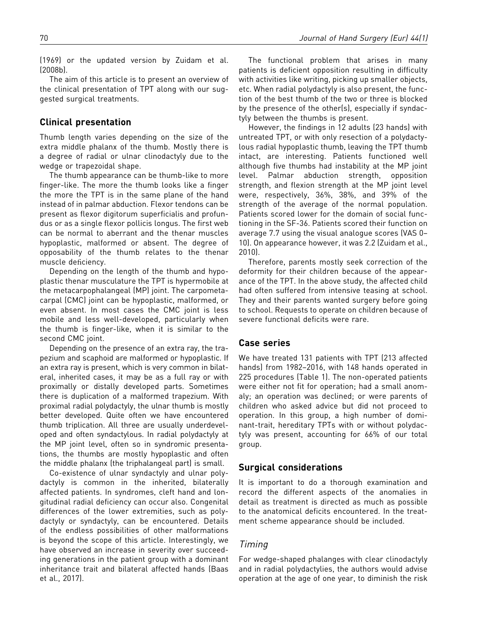(1969) or the updated version by Zuidam et al. (2008b).

The aim of this article is to present an overview of the clinical presentation of TPT along with our suggested surgical treatments.

## Clinical presentation

Thumb length varies depending on the size of the extra middle phalanx of the thumb. Mostly there is a degree of radial or ulnar clinodactyly due to the wedge or trapezoidal shape.

The thumb appearance can be thumb-like to more finger-like. The more the thumb looks like a finger the more the TPT is in the same plane of the hand instead of in palmar abduction. Flexor tendons can be present as flexor digitorum superficialis and profundus or as a single flexor pollicis longus. The first web can be normal to aberrant and the thenar muscles hypoplastic, malformed or absent. The degree of opposability of the thumb relates to the thenar muscle deficiency.

Depending on the length of the thumb and hypoplastic thenar musculature the TPT is hypermobile at the metacarpophalangeal (MP) joint. The carpometacarpal (CMC) joint can be hypoplastic, malformed, or even absent. In most cases the CMC joint is less mobile and less well-developed, particularly when the thumb is finger-like, when it is similar to the second CMC joint.

Depending on the presence of an extra ray, the trapezium and scaphoid are malformed or hypoplastic. If an extra ray is present, which is very common in bilateral, inherited cases, it may be as a full ray or with proximally or distally developed parts. Sometimes there is duplication of a malformed trapezium. With proximal radial polydactyly, the ulnar thumb is mostly better developed. Quite often we have encountered thumb triplication. All three are usually underdeveloped and often syndactylous. In radial polydactyly at the MP joint level, often so in syndromic presentations, the thumbs are mostly hypoplastic and often the middle phalanx (the triphalangeal part) is small.

Co-existence of ulnar syndactyly and ulnar polydactyly is common in the inherited, bilaterally affected patients. In syndromes, cleft hand and longitudinal radial deficiency can occur also. Congenital differences of the lower extremities, such as polydactyly or syndactyly, can be encountered. Details of the endless possibilities of other malformations is beyond the scope of this article. Interestingly, we have observed an increase in severity over succeeding generations in the patient group with a dominant inheritance trait and bilateral affected hands (Baas et al., 2017).

The functional problem that arises in many patients is deficient opposition resulting in difficulty with activities like writing, picking up smaller objects, etc. When radial polydactyly is also present, the function of the best thumb of the two or three is blocked by the presence of the other(s), especially if syndactyly between the thumbs is present.

However, the findings in 12 adults (23 hands) with untreated TPT, or with only resection of a polydactylous radial hypoplastic thumb, leaving the TPT thumb intact, are interesting. Patients functioned well although five thumbs had instability at the MP joint level. Palmar abduction strength, opposition strength, and flexion strength at the MP joint level were, respectively, 36%, 38%, and 39% of the strength of the average of the normal population. Patients scored lower for the domain of social functioning in the SF-36. Patients scored their function on average 7.7 using the visual analogue scores (VAS 0– 10). On appearance however, it was 2.2 (Zuidam et al., 2010).

Therefore, parents mostly seek correction of the deformity for their children because of the appearance of the TPT. In the above study, the affected child had often suffered from intensive teasing at school. They and their parents wanted surgery before going to school. Requests to operate on children because of severe functional deficits were rare.

## Case series

We have treated 131 patients with TPT (213 affected hands) from 1982–2016, with 148 hands operated in 225 procedures (Table 1). The non-operated patients were either not fit for operation; had a small anomaly; an operation was declined; or were parents of children who asked advice but did not proceed to operation. In this group, a high number of dominant-trait, hereditary TPTs with or without polydactyly was present, accounting for 66% of our total group.

#### Surgical considerations

It is important to do a thorough examination and record the different aspects of the anomalies in detail as treatment is directed as much as possible to the anatomical deficits encountered. In the treatment scheme appearance should be included.

#### Timing

For wedge-shaped phalanges with clear clinodactyly and in radial polydactylies, the authors would advise operation at the age of one year, to diminish the risk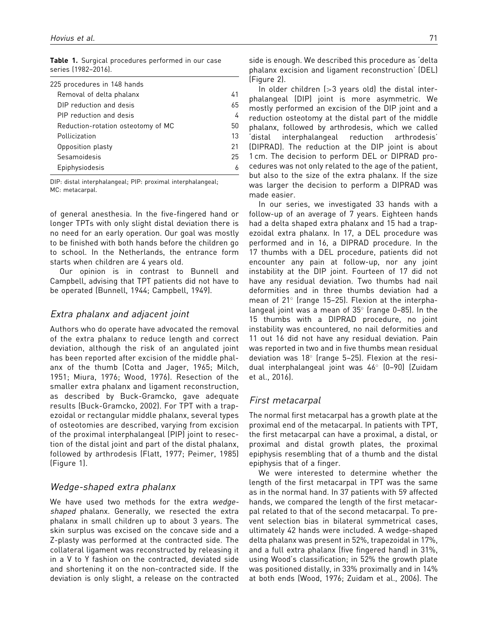| 225 procedures in 148 hands        |    |
|------------------------------------|----|
| Removal of delta phalanx           | 41 |
| DIP reduction and desis            | 65 |
| PIP reduction and desis            | 4  |
| Reduction-rotation osteotomy of MC | 50 |
| Pollicization                      | 13 |
| Opposition plasty                  | 21 |
| Sesamoidesis                       | 25 |
| Epiphysiodesis                     |    |
|                                    |    |

Table 1. Surgical procedures performed in our case series (1982–2016).

DIP: distal interphalangeal; PIP: proximal interphalangeal; MC: metacarpal.

of general anesthesia. In the five-fingered hand or longer TPTs with only slight distal deviation there is no need for an early operation. Our goal was mostly to be finished with both hands before the children go to school. In the Netherlands, the entrance form starts when children are 4 years old.

Our opinion is in contrast to Bunnell and Campbell, advising that TPT patients did not have to be operated (Bunnell, 1944; Campbell, 1949).

#### Extra phalanx and adjacent joint

Authors who do operate have advocated the removal of the extra phalanx to reduce length and correct deviation, although the risk of an angulated joint has been reported after excision of the middle phalanx of the thumb (Cotta and Jager, 1965; Milch, 1951; Miura, 1976; Wood, 1976). Resection of the smaller extra phalanx and ligament reconstruction, as described by Buck-Gramcko, gave adequate results (Buck-Gramcko, 2002). For TPT with a trapezoidal or rectangular middle phalanx, several types of osteotomies are described, varying from excision of the proximal interphalangeal (PIP) joint to resection of the distal joint and part of the distal phalanx, followed by arthrodesis (Flatt, 1977; Peimer, 1985) (Figure 1).

#### Wedge-shaped extra phalanx

We have used two methods for the extra wedgeshaped phalanx. Generally, we resected the extra phalanx in small children up to about 3 years. The skin surplus was excised on the concave side and a Z-plasty was performed at the contracted side. The collateral ligament was reconstructed by releasing it in a V to Y fashion on the contracted, deviated side and shortening it on the non-contracted side. If the deviation is only slight, a release on the contracted side is enough. We described this procedure as 'delta phalanx excision and ligament reconstruction' (DEL) (Figure 2).

In older children (>3 years old) the distal interphalangeal (DIP) joint is more asymmetric. We mostly performed an excision of the DIP joint and a reduction osteotomy at the distal part of the middle phalanx, followed by arthrodesis, which we called 'distal interphalangeal reduction arthrodesis' (DIPRAD). The reduction at the DIP joint is about 1 cm. The decision to perform DEL or DIPRAD procedures was not only related to the age of the patient, but also to the size of the extra phalanx. If the size was larger the decision to perform a DIPRAD was made easier.

In our series, we investigated 33 hands with a follow-up of an average of 7 years. Eighteen hands had a delta shaped extra phalanx and 15 had a trapezoidal extra phalanx. In 17, a DEL procedure was performed and in 16, a DIPRAD procedure. In the 17 thumbs with a DEL procedure, patients did not encounter any pain at follow-up, nor any joint instability at the DIP joint. Fourteen of 17 did not have any residual deviation. Two thumbs had nail deformities and in three thumbs deviation had a mean of 21° (range 15-25). Flexion at the interphalangeal joint was a mean of  $35^{\circ}$  (range 0-85). In the 15 thumbs with a DIPRAD procedure, no joint instability was encountered, no nail deformities and 11 out 16 did not have any residual deviation. Pain was reported in two and in five thumbs mean residual deviation was  $18^\circ$  (range 5-25). Flexion at the residual interphalangeal joint was 46° (0-90) (Zuidam et al., 2016).

## First metacarpal

The normal first metacarpal has a growth plate at the proximal end of the metacarpal. In patients with TPT, the first metacarpal can have a proximal, a distal, or proximal and distal growth plates, the proximal epiphysis resembling that of a thumb and the distal epiphysis that of a finger.

We were interested to determine whether the length of the first metacarpal in TPT was the same as in the normal hand. In 37 patients with 59 affected hands, we compared the length of the first metacarpal related to that of the second metacarpal. To prevent selection bias in bilateral symmetrical cases, ultimately 42 hands were included. A wedge-shaped delta phalanx was present in 52%, trapezoidal in 17%, and a full extra phalanx (five fingered hand) in 31%, using Wood's classification; in 52% the growth plate was positioned distally, in 33% proximally and in 14% at both ends (Wood, 1976; Zuidam et al., 2006). The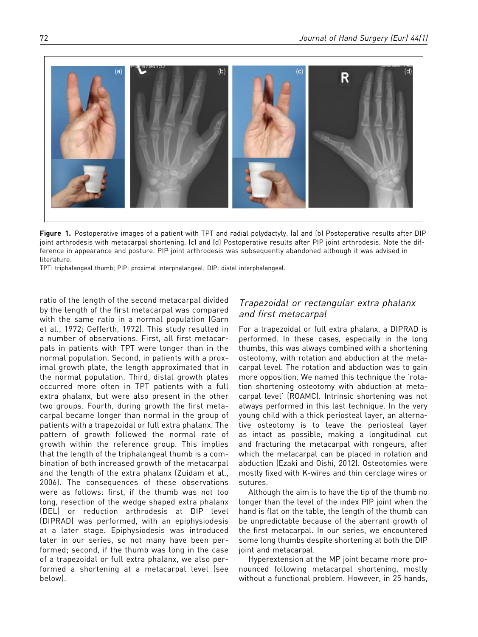

Figure 1. Postoperative images of a patient with TPT and radial polydactyly. (a) and (b) Postoperative results after DIP joint arthrodesis with metacarpal shortening. (c) and (d) Postoperative results after PIP joint arthrodesis. Note the difference in appearance and posture. PIP joint arthrodesis was subsequently abandoned although it was advised in literature.

TPT: triphalangeal thumb; PIP: proximal interphalangeal; DIP: distal interphalangeal.

ratio of the length of the second metacarpal divided by the length of the first metacarpal was compared with the same ratio in a normal population (Garn et al., 1972; Gefferth, 1972). This study resulted in a number of observations. First, all first metacarpals in patients with TPT were longer than in the normal population. Second, in patients with a proximal growth plate, the length approximated that in the normal population. Third, distal growth plates occurred more often in TPT patients with a full extra phalanx, but were also present in the other two groups. Fourth, during growth the first metacarpal became longer than normal in the group of patients with a trapezoidal or full extra phalanx. The pattern of growth followed the normal rate of growth within the reference group. This implies that the length of the triphalangeal thumb is a combination of both increased growth of the metacarpal and the length of the extra phalanx (Zuidam et al., 2006). The consequences of these observations were as follows: first, if the thumb was not too long, resection of the wedge shaped extra phalanx (DEL) or reduction arthrodesis at DIP level (DIPRAD) was performed, with an epiphysiodesis at a later stage. Epiphysiodesis was introduced later in our series, so not many have been performed; second, if the thumb was long in the case of a trapezoidal or full extra phalanx, we also performed a shortening at a metacarpal level (see below).

# Trapezoidal or rectangular extra phalanx and first metacarpal

For a trapezoidal or full extra phalanx, a DIPRAD is performed. In these cases, especially in the long thumbs, this was always combined with a shortening osteotomy, with rotation and abduction at the metacarpal level. The rotation and abduction was to gain more opposition. We named this technique the 'rotation shortening osteotomy with abduction at metacarpal level' (ROAMC). Intrinsic shortening was not always performed in this last technique. In the very young child with a thick periosteal layer, an alternative osteotomy is to leave the periosteal layer as intact as possible, making a longitudinal cut and fracturing the metacarpal with rongeurs, after which the metacarpal can be placed in rotation and abduction (Ezaki and Oishi, 2012). Osteotomies were mostly fixed with K-wires and thin cerclage wires or sutures.

Although the aim is to have the tip of the thumb no longer than the level of the index PIP joint when the hand is flat on the table, the length of the thumb can be unpredictable because of the aberrant growth of the first metacarpal. In our series, we encountered some long thumbs despite shortening at both the DIP joint and metacarpal.

Hyperextension at the MP joint became more pronounced following metacarpal shortening, mostly without a functional problem. However, in 25 hands,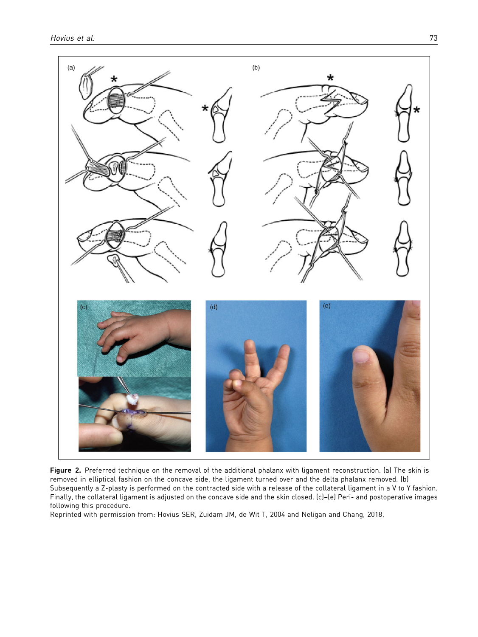

Figure 2. Preferred technique on the removal of the additional phalanx with ligament reconstruction. (a) The skin is removed in elliptical fashion on the concave side, the ligament turned over and the delta phalanx removed. (b) Subsequently a Z-plasty is performed on the contracted side with a release of the collateral ligament in a V to Y fashion. Finally, the collateral ligament is adjusted on the concave side and the skin closed. (c)–(e) Peri- and postoperative images following this procedure.

Reprinted with permission from: Hovius SER, Zuidam JM, de Wit T, 2004 and Neligan and Chang, 2018.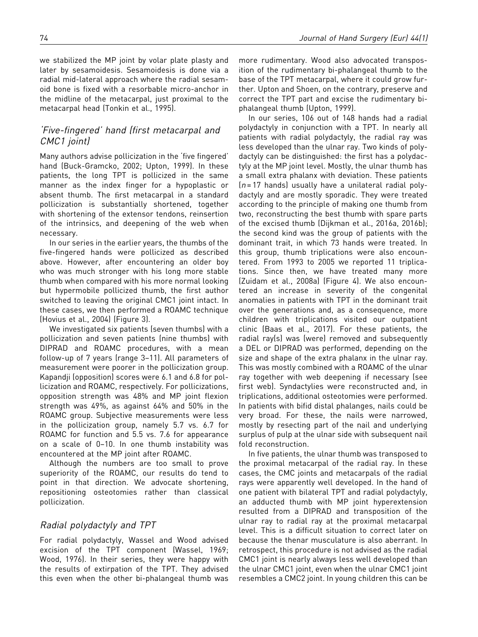we stabilized the MP joint by volar plate plasty and later by sesamoidesis. Sesamoidesis is done via a radial mid-lateral approach where the radial sesamoid bone is fixed with a resorbable micro-anchor in the midline of the metacarpal, just proximal to the metacarpal head (Tonkin et al., 1995).

## 'Five-fingered' hand (first metacarpal and CMC1 joint)

Many authors advise pollicization in the 'five fingered' hand (Buck-Gramcko, 2002; Upton, 1999). In these patients, the long TPT is pollicized in the same manner as the index finger for a hypoplastic or absent thumb. The first metacarpal in a standard pollicization is substantially shortened, together with shortening of the extensor tendons, reinsertion of the intrinsics, and deepening of the web when necessary.

In our series in the earlier years, the thumbs of the five-fingered hands were pollicized as described above. However, after encountering an older boy who was much stronger with his long more stable thumb when compared with his more normal looking but hypermobile pollicized thumb, the first author switched to leaving the original CMC1 joint intact. In these cases, we then performed a ROAMC technique (Hovius et al., 2004) (Figure 3).

We investigated six patients (seven thumbs) with a pollicization and seven patients (nine thumbs) with DIPRAD and ROAMC procedures, with a mean follow-up of 7 years (range 3–11). All parameters of measurement were poorer in the pollicization group. Kapandji (opposition) scores were 6.1 and 6.8 for pollicization and ROAMC, respectively. For pollicizations, opposition strength was 48% and MP joint flexion strength was 49%, as against 64% and 50% in the ROAMC group. Subjective measurements were less in the pollicization group, namely 5.7 vs. 6.7 for ROAMC for function and 5.5 vs. 7.6 for appearance on a scale of 0–10. In one thumb instability was encountered at the MP joint after ROAMC.

Although the numbers are too small to prove superiority of the ROAMC, our results do tend to point in that direction. We advocate shortening, repositioning osteotomies rather than classical pollicization.

## Radial polydactyly and TPT

For radial polydactyly, Wassel and Wood advised excision of the TPT component (Wassel, 1969; Wood, 1976). In their series, they were happy with the results of extirpation of the TPT. They advised this even when the other bi-phalangeal thumb was more rudimentary. Wood also advocated transposition of the rudimentary bi-phalangeal thumb to the base of the TPT metacarpal, where it could grow further. Upton and Shoen, on the contrary, preserve and correct the TPT part and excise the rudimentary biphalangeal thumb (Upton, 1999).

In our series, 106 out of 148 hands had a radial polydactyly in conjunction with a TPT. In nearly all patients with radial polydactyly, the radial ray was less developed than the ulnar ray. Two kinds of polydactyly can be distinguished: the first has a polydactyly at the MP joint level. Mostly, the ulnar thumb has a small extra phalanx with deviation. These patients  $(n = 17$  hands) usually have a unilateral radial polydactyly and are mostly sporadic. They were treated according to the principle of making one thumb from two, reconstructing the best thumb with spare parts of the excised thumb (Dijkman et al., 2016a, 2016b); the second kind was the group of patients with the dominant trait, in which 73 hands were treated. In this group, thumb triplications were also encountered. From 1993 to 2005 we reported 11 triplications. Since then, we have treated many more (Zuidam et al., 2008a) (Figure 4). We also encountered an increase in severity of the congenital anomalies in patients with TPT in the dominant trait over the generations and, as a consequence, more children with triplications visited our outpatient clinic (Baas et al., 2017). For these patients, the radial ray(s) was (were) removed and subsequently a DEL or DIPRAD was performed, depending on the size and shape of the extra phalanx in the ulnar ray. This was mostly combined with a ROAMC of the ulnar ray together with web deepening if necessary (see first web). Syndactylies were reconstructed and, in triplications, additional osteotomies were performed. In patients with bifid distal phalanges, nails could be very broad. For these, the nails were narrowed, mostly by resecting part of the nail and underlying surplus of pulp at the ulnar side with subsequent nail fold reconstruction.

In five patients, the ulnar thumb was transposed to the proximal metacarpal of the radial ray. In these cases, the CMC joints and metacarpals of the radial rays were apparently well developed. In the hand of one patient with bilateral TPT and radial polydactyly, an adducted thumb with MP joint hyperextension resulted from a DIPRAD and transposition of the ulnar ray to radial ray at the proximal metacarpal level. This is a difficult situation to correct later on because the thenar musculature is also aberrant. In retrospect, this procedure is not advised as the radial CMC1 joint is nearly always less well developed than the ulnar CMC1 joint, even when the ulnar CMC1 joint resembles a CMC2 joint. In young children this can be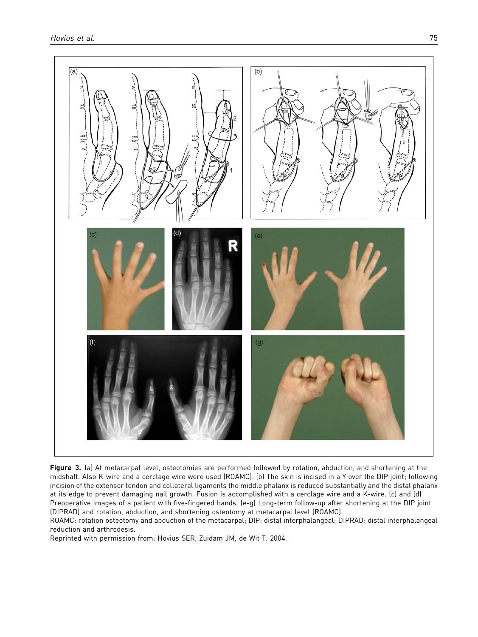

Figure 3. (a) At metacarpal level, osteotomies are performed followed by rotation, abduction, and shortening at the midshaft. Also K-wire and a cerclage wire were used (ROAMC). (b) The skin is incised in a Y over the DIP joint; following incision of the extensor tendon and collateral ligaments the middle phalanx is reduced substantially and the distal phalanx at its edge to prevent damaging nail growth. Fusion is accomplished with a cerclage wire and a K-wire. (c) and (d) Preoperative images of a patient with five-fingered hands. (e-g) Long-term follow-up after shortening at the DIP joint (DIPRAD) and rotation, abduction, and shortening osteotomy at metacarpal level (ROAMC).

ROAMC: rotation osteotomy and abduction of the metacarpal; DIP: distal interphalangeal; DIPRAD: distal interphalangeal reduction and arthrodesis.

Reprinted with permission from: Hovius SER, Zuidam JM, de Wit T. 2004.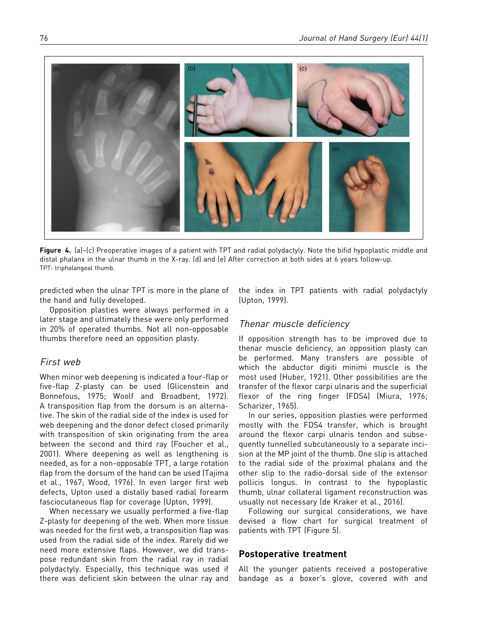

Figure 4. [a]-(c) Preoperative images of a patient with TPT and radial polydactyly. Note the bifid hypoplastic middle and distal phalanx in the ulnar thumb in the X-ray. (d) and (e) After correction at both sides at 6 years follow-up. TPT: triphalangeal thumb.

predicted when the ulnar TPT is more in the plane of the hand and fully developed.

Opposition plasties were always performed in a later stage and ultimately these were only performed in 20% of operated thumbs. Not all non-opposable thumbs therefore need an opposition plasty.

#### First web

When minor web deepening is indicated a four-flap or five-flap Z-plasty can be used (Glicenstein and Bonnefous, 1975; Woolf and Broadbent, 1972). A transposition flap from the dorsum is an alternative. The skin of the radial side of the index is used for web deepening and the donor defect closed primarily with transposition of skin originating from the area between the second and third ray (Foucher et al., 2001). Where deepening as well as lengthening is needed, as for a non-opposable TPT, a large rotation flap from the dorsum of the hand can be used (Tajima et al., 1967; Wood, 1976). In even larger first web defects, Upton used a distally based radial forearm fasciocutaneous flap for coverage (Upton, 1999).

When necessary we usually performed a five-flap Z-plasty for deepening of the web. When more tissue was needed for the first web, a transposition flap was used from the radial side of the index. Rarely did we need more extensive flaps. However, we did transpose redundant skin from the radial ray in radial polydactyly. Especially, this technique was used if there was deficient skin between the ulnar ray and

the index in TPT patients with radial polydactyly (Upton, 1999).

#### Thenar muscle deficiency

If opposition strength has to be improved due to thenar muscle deficiency, an opposition plasty can be performed. Many transfers are possible of which the abductor digiti minimi muscle is the most used (Huber, 1921). Other possibilities are the transfer of the flexor carpi ulnaris and the superficial flexor of the ring finger (FDS4) (Miura, 1976; Scharizer, 1965).

In our series, opposition plasties were performed mostly with the FDS4 transfer, which is brought around the flexor carpi ulnaris tendon and subsequently tunnelled subcutaneously to a separate incision at the MP joint of the thumb. One slip is attached to the radial side of the proximal phalanx and the other slip to the radio-dorsal side of the extensor pollicis longus. In contrast to the hypoplastic thumb, ulnar collateral ligament reconstruction was usually not necessary (de Kraker et al., 2016).

Following our surgical considerations, we have devised a flow chart for surgical treatment of patients with TPT (Figure 5).

#### Postoperative treatment

All the younger patients received a postoperative bandage as a boxer's glove, covered with and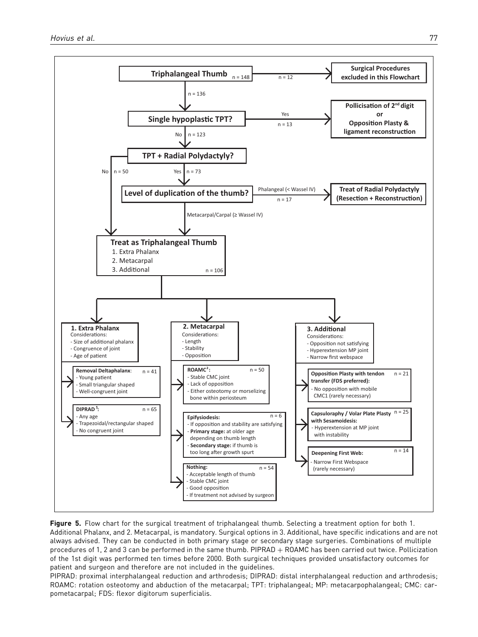

Figure 5. Flow chart for the surgical treatment of triphalangeal thumb. Selecting a treatment option for both 1. Additional Phalanx, and 2. Metacarpal, is mandatory. Surgical options in 3. Additional, have specific indications and are not always advised. They can be conducted in both primary stage or secondary stage surgeries. Combinations of multiple procedures of 1, 2 and 3 can be performed in the same thumb. PIPRAD + ROAMC has been carried out twice. Pollicization of the 1st digit was performed ten times before 2000. Both surgical techniques provided unsatisfactory outcomes for patient and surgeon and therefore are not included in the guidelines.

PIPRAD: proximal interphalangeal reduction and arthrodesis; DIPRAD: distal interphalangeal reduction and arthrodesis; ROAMC: rotation osteotomy and abduction of the metacarpal; TPT: triphalangeal; MP: metacarpophalangeal; CMC: carpometacarpal; FDS: flexor digitorum superficialis.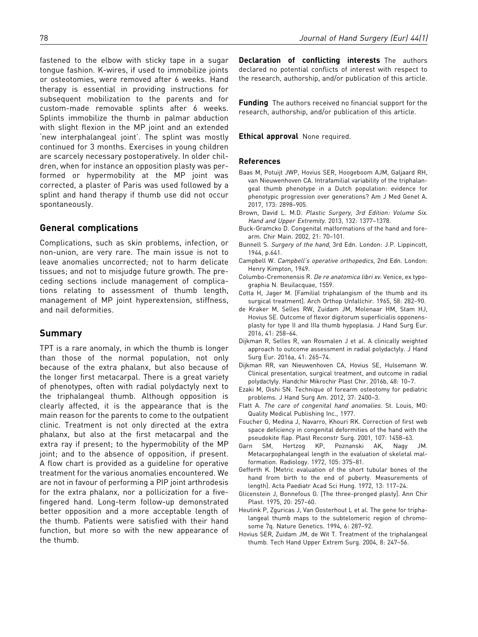fastened to the elbow with sticky tape in a sugar tongue fashion. K-wires, if used to immobilize joints or osteotomies, were removed after 6 weeks. Hand therapy is essential in providing instructions for subsequent mobilization to the parents and for custom-made removable splints after 6 weeks. Splints immobilize the thumb in palmar abduction with slight flexion in the MP joint and an extended 'new interphalangeal joint'. The splint was mostly continued for 3 months. Exercises in young children are scarcely necessary postoperatively. In older children, when for instance an opposition plasty was performed or hypermobility at the MP joint was corrected, a plaster of Paris was used followed by a splint and hand therapy if thumb use did not occur spontaneously.

#### General complications

Complications, such as skin problems, infection, or non-union, are very rare. The main issue is not to leave anomalies uncorrected; not to harm delicate tissues; and not to misjudge future growth. The preceding sections include management of complications relating to assessment of thumb length, management of MP joint hyperextension, stiffness, and nail deformities.

## Summary

TPT is a rare anomaly, in which the thumb is longer than those of the normal population, not only because of the extra phalanx, but also because of the longer first metacarpal. There is a great variety of phenotypes, often with radial polydactyly next to the triphalangeal thumb. Although opposition is clearly affected, it is the appearance that is the main reason for the parents to come to the outpatient clinic. Treatment is not only directed at the extra phalanx, but also at the first metacarpal and the extra ray if present; to the hypermobility of the MP joint; and to the absence of opposition, if present. A flow chart is provided as a guideline for operative treatment for the various anomalies encountered. We are not in favour of performing a PIP joint arthrodesis for the extra phalanx, nor a pollicization for a fivefingered hand. Long-term follow-up demonstrated better opposition and a more acceptable length of the thumb. Patients were satisfied with their hand function, but more so with the new appearance of the thumb.

Declaration of conflicting interests The authors declared no potential conflicts of interest with respect to the research, authorship, and/or publication of this article.

Funding The authors received no financial support for the research, authorship, and/or publication of this article.

Ethical approval None required.

#### References

- Baas M, Potuijt JWP, Hovius SER, Hoogeboom AJM, Galjaard RH, van Nieuwenhoven CA. Intrafamilial variability of the triphalangeal thumb phenotype in a Dutch population: evidence for phenotypic progression over generations? Am J Med Genet A. 2017, 173: 2898–905.
- Brown, David L. M.D. Plastic Surgery, 3rd Edition: Volume Six. Hand and Upper Extremity. 2013, 132: 1377–1378.
- Buck-Gramcko D. Congenital malformations of the hand and forearm. Chir Main. 2002, 21: 70–101.
- Bunnell S. Surgery of the hand, 3rd Edn. London: J.P. Lippincott, 1944, p.641.
- Campbell W. Campbell's operative orthopedics, 2nd Edn. London: Henry Kimpton, 1949.
- Columbo-Cremonensis R. De re anatomica libri xv. Venice, ex typographia N. Beuilacquae, 1559.
- Cotta H, Jager M. [Familial triphalangism of the thumb and its surgical treatment]. Arch Orthop Unfallchir. 1965, 58: 282–90.
- de Kraker M, Selles RW, Zuidam JM, Molenaar HM, Stam HJ, Hovius SE. Outcome of flexor digitorum superficialis opponensplasty for type II and IIIa thumb hypoplasia. J Hand Surg Eur. 2016, 41: 258–64.
- Dijkman R, Selles R, van Rosmalen J et al. A clinically weighted approach to outcome assessment in radial polydactyly. J Hand Surg Eur. 2016a, 41: 265–74.
- Dijkman RR, van Nieuwenhoven CA, Hovius SE, Hulsemann W. Clinical presentation, surgical treatment, and outcome in radial polydactyly. Handchir Mikrochir Plast Chir. 2016b, 48: 10–7.
- Ezaki M, Oishi SN. Technique of forearm osteotomy for pediatric problems. J Hand Surg Am. 2012, 37: 2400–3.
- Flatt A. The care of congenital hand anomalies. St. Louis, MO: Quality Medical Publishing Inc., 1977.
- Foucher G, Medina J, Navarro, Khouri RK. Correction of first web space deficiency in congenital deformities of the hand with the pseudokite flap. Plast Reconstr Surg. 2001, 107: 1458–63.
- Garn SM, Hertzog KP, Poznanski AK, Nagy JM. Metacarpophalangeal length in the evaluation of skeletal malformation. Radiology. 1972, 105: 375–81.
- Gefferth K. [Metric evaluation of the short tubular bones of the hand from birth to the end of puberty. Measurements of length]. Acta Paediatr Acad Sci Hung. 1972, 13: 117–24.
- Glicenstein J, Bonnefous G. [The three-pronged plasty]. Ann Chir Plast. 1975, 20: 257–60.
- Heutink P, Zguricas J, Van Oosterhout L et al. The gene for triphalangeal thumb maps to the subtelomeric region of chromosome 7q. Nature Genetics. 1994, 6: 287–92.
- Hovius SER, Zuidam JM, de Wit T. Treatment of the triphalangeal thumb. Tech Hand Upper Extrem Surg. 2004, 8: 247–56.